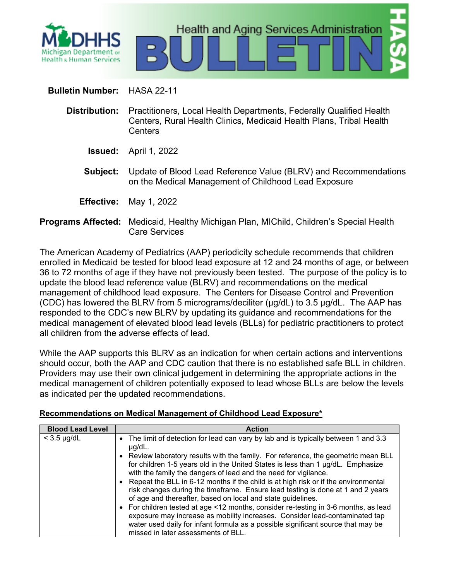

# **Bulletin Number:** HASA 22-11

- **Distribution:** Practitioners, Local Health Departments, Federally Qualified Health Centers, Rural Health Clinics, Medicaid Health Plans, Tribal Health **Centers** 
	- **Issued:** April 1, 2022
	- **Subject:** Update of Blood Lead Reference Value (BLRV) and Recommendations on the Medical Management of Childhood Lead Exposure
	- **Effective:** May 1, 2022
- **Programs Affected:** Medicaid, Healthy Michigan Plan, MIChild, Children's Special Health Care Services

The American Academy of Pediatrics (AAP) periodicity schedule recommends that children enrolled in Medicaid be tested for blood lead exposure at 12 and 24 months of age, or between 36 to 72 months of age if they have not previously been tested. The purpose of the policy is to update the blood lead reference value (BLRV) and recommendations on the medical management of childhood lead exposure. The Centers for Disease Control and Prevention (CDC) has lowered the BLRV from 5 micrograms/deciliter (μg/dL) to 3.5 μg/dL. The AAP has responded to the CDC's new BLRV by updating its guidance and recommendations for the medical management of elevated blood lead levels (BLLs) for pediatric practitioners to protect all children from the adverse effects of lead.

While the AAP supports this BLRV as an indication for when certain actions and interventions should occur, both the AAP and CDC caution that there is no established safe BLL in children. Providers may use their own clinical judgement in determining the appropriate actions in the medical management of children potentially exposed to lead whose BLLs are below the levels as indicated per the updated recommendations.

# **Recommendations on Medical Management of Childhood Lead Exposure\***

| <b>Blood Lead Level</b> | <b>Action</b>                                                                                                                                                                                                                                                                                                                                                                                                                                                                                                                                                                                                                                                                                                                                                                       |
|-------------------------|-------------------------------------------------------------------------------------------------------------------------------------------------------------------------------------------------------------------------------------------------------------------------------------------------------------------------------------------------------------------------------------------------------------------------------------------------------------------------------------------------------------------------------------------------------------------------------------------------------------------------------------------------------------------------------------------------------------------------------------------------------------------------------------|
| $<$ 3.5 $\mu$ g/dL      | • The limit of detection for lead can vary by lab and is typically between 1 and 3.3<br>$\mu$ g/dL.                                                                                                                                                                                                                                                                                                                                                                                                                                                                                                                                                                                                                                                                                 |
|                         | • Review laboratory results with the family. For reference, the geometric mean BLL<br>for children 1-5 years old in the United States is less than 1 µg/dL. Emphasize<br>with the family the dangers of lead and the need for vigilance.<br>• Repeat the BLL in 6-12 months if the child is at high risk or if the environmental<br>risk changes during the timeframe. Ensure lead testing is done at 1 and 2 years<br>of age and thereafter, based on local and state guidelines.<br>• For children tested at age <12 months, consider re-testing in 3-6 months, as lead<br>exposure may increase as mobility increases. Consider lead-contaminated tap<br>water used daily for infant formula as a possible significant source that may be<br>missed in later assessments of BLL. |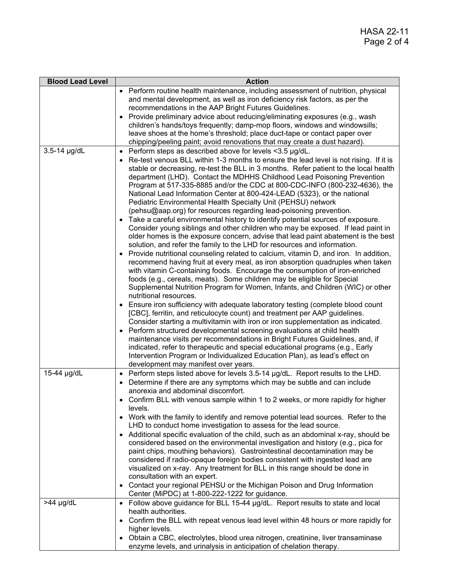| <b>Blood Lead Level</b> | <b>Action</b>                                                                                                                                                                                                                                                                                                                                                                                                                                                                                                                                                                                                                                                                                                                                                                                                                                                                                                                                                                                                                                                                                                                                                                                                                                                                                                                                                                                                                                                                                                                                                                                                                                                                                                                                                                                                                            |
|-------------------------|------------------------------------------------------------------------------------------------------------------------------------------------------------------------------------------------------------------------------------------------------------------------------------------------------------------------------------------------------------------------------------------------------------------------------------------------------------------------------------------------------------------------------------------------------------------------------------------------------------------------------------------------------------------------------------------------------------------------------------------------------------------------------------------------------------------------------------------------------------------------------------------------------------------------------------------------------------------------------------------------------------------------------------------------------------------------------------------------------------------------------------------------------------------------------------------------------------------------------------------------------------------------------------------------------------------------------------------------------------------------------------------------------------------------------------------------------------------------------------------------------------------------------------------------------------------------------------------------------------------------------------------------------------------------------------------------------------------------------------------------------------------------------------------------------------------------------------------|
|                         | Perform routine health maintenance, including assessment of nutrition, physical<br>and mental development, as well as iron deficiency risk factors, as per the<br>recommendations in the AAP Bright Futures Guidelines.<br>Provide preliminary advice about reducing/eliminating exposures (e.g., wash<br>children's hands/toys frequently; damp-mop floors, windows and windowsills;<br>leave shoes at the home's threshold; place duct-tape or contact paper over                                                                                                                                                                                                                                                                                                                                                                                                                                                                                                                                                                                                                                                                                                                                                                                                                                                                                                                                                                                                                                                                                                                                                                                                                                                                                                                                                                      |
|                         | chipping/peeling paint; avoid renovations that may create a dust hazard).                                                                                                                                                                                                                                                                                                                                                                                                                                                                                                                                                                                                                                                                                                                                                                                                                                                                                                                                                                                                                                                                                                                                                                                                                                                                                                                                                                                                                                                                                                                                                                                                                                                                                                                                                                |
| 3.5-14 µg/dL            | Perform steps as described above for levels <3.5 µg/dL.<br>$\bullet$<br>Re-test venous BLL within 1-3 months to ensure the lead level is not rising. If it is<br>stable or decreasing, re-test the BLL in 3 months. Refer patient to the local health<br>department (LHD). Contact the MDHHS Childhood Lead Poisoning Prevention<br>Program at 517-335-8885 and/or the CDC at 800-CDC-INFO (800-232-4636), the<br>National Lead Information Center at 800-424-LEAD (5323), or the national<br>Pediatric Environmental Health Specialty Unit (PEHSU) network<br>(pehsu@aap.org) for resources regarding lead-poisoning prevention.<br>• Take a careful environmental history to identify potential sources of exposure.<br>Consider young siblings and other children who may be exposed. If lead paint in<br>older homes is the exposure concern, advise that lead paint abatement is the best<br>solution, and refer the family to the LHD for resources and information.<br>Provide nutritional counseling related to calcium, vitamin D, and iron. In addition,<br>recommend having fruit at every meal, as iron absorption quadruples when taken<br>with vitamin C-containing foods. Encourage the consumption of iron-enriched<br>foods (e.g., cereals, meats). Some children may be eligible for Special<br>Supplemental Nutrition Program for Women, Infants, and Children (WIC) or other<br>nutritional resources.<br>Ensure iron sufficiency with adequate laboratory testing (complete blood count<br>[CBC], ferritin, and reticulocyte count) and treatment per AAP guidelines.<br>Consider starting a multivitamin with iron or iron supplementation as indicated.<br>Perform structured developmental screening evaluations at child health<br>maintenance visits per recommendations in Bright Futures Guidelines, and, if |
|                         | indicated, refer to therapeutic and special educational programs (e.g., Early<br>Intervention Program or Individualized Education Plan), as lead's effect on                                                                                                                                                                                                                                                                                                                                                                                                                                                                                                                                                                                                                                                                                                                                                                                                                                                                                                                                                                                                                                                                                                                                                                                                                                                                                                                                                                                                                                                                                                                                                                                                                                                                             |
| 15-44 µg/dL             | development may manifest over years.<br>Perform steps listed above for levels 3.5-14 µg/dL. Report results to the LHD.<br>$\bullet$<br>Determine if there are any symptoms which may be subtle and can include<br>$\bullet$<br>anorexia and abdominal discomfort.<br>Confirm BLL with venous sample within 1 to 2 weeks, or more rapidly for higher<br>levels.                                                                                                                                                                                                                                                                                                                                                                                                                                                                                                                                                                                                                                                                                                                                                                                                                                                                                                                                                                                                                                                                                                                                                                                                                                                                                                                                                                                                                                                                           |
|                         | • Work with the family to identify and remove potential lead sources. Refer to the<br>LHD to conduct home investigation to assess for the lead source.<br>Additional specific evaluation of the child, such as an abdominal x-ray, should be<br>considered based on the environmental investigation and history (e.g., pica for<br>paint chips, mouthing behaviors). Gastrointestinal decontamination may be<br>considered if radio-opaque foreign bodies consistent with ingested lead are<br>visualized on x-ray. Any treatment for BLL in this range should be done in<br>consultation with an expert.<br>Contact your regional PEHSU or the Michigan Poison and Drug Information<br>Center (MiPDC) at 1-800-222-1222 for guidance.                                                                                                                                                                                                                                                                                                                                                                                                                                                                                                                                                                                                                                                                                                                                                                                                                                                                                                                                                                                                                                                                                                   |
| $>44$ µg/dL             | • Follow above guidance for BLL 15-44 µg/dL. Report results to state and local<br>health authorities.<br>Confirm the BLL with repeat venous lead level within 48 hours or more rapidly for<br>higher levels.<br>Obtain a CBC, electrolytes, blood urea nitrogen, creatinine, liver transaminase<br>enzyme levels, and urinalysis in anticipation of chelation therapy.                                                                                                                                                                                                                                                                                                                                                                                                                                                                                                                                                                                                                                                                                                                                                                                                                                                                                                                                                                                                                                                                                                                                                                                                                                                                                                                                                                                                                                                                   |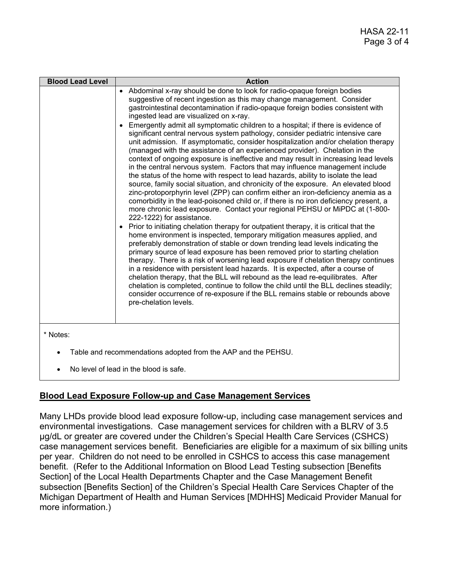| <b>Blood Lead Level</b> | <b>Action</b>                                                                                                                                                                                                                                                                                                                                                                                                                                                                                                                                                                                                                                                                                                                                                                                                                                                                                                                                                                                                                                                                                                                                                                                                                                                                                                                                                                                                                                                                                                                                                                                                                                                                                                                                                                                                                                                                                                                                                                                                                                                               |
|-------------------------|-----------------------------------------------------------------------------------------------------------------------------------------------------------------------------------------------------------------------------------------------------------------------------------------------------------------------------------------------------------------------------------------------------------------------------------------------------------------------------------------------------------------------------------------------------------------------------------------------------------------------------------------------------------------------------------------------------------------------------------------------------------------------------------------------------------------------------------------------------------------------------------------------------------------------------------------------------------------------------------------------------------------------------------------------------------------------------------------------------------------------------------------------------------------------------------------------------------------------------------------------------------------------------------------------------------------------------------------------------------------------------------------------------------------------------------------------------------------------------------------------------------------------------------------------------------------------------------------------------------------------------------------------------------------------------------------------------------------------------------------------------------------------------------------------------------------------------------------------------------------------------------------------------------------------------------------------------------------------------------------------------------------------------------------------------------------------------|
|                         | • Abdominal x-ray should be done to look for radio-opaque foreign bodies<br>suggestive of recent ingestion as this may change management. Consider<br>gastrointestinal decontamination if radio-opaque foreign bodies consistent with<br>ingested lead are visualized on x-ray.<br>Emergently admit all symptomatic children to a hospital; if there is evidence of<br>significant central nervous system pathology, consider pediatric intensive care<br>unit admission. If asymptomatic, consider hospitalization and/or chelation therapy<br>(managed with the assistance of an experienced provider). Chelation in the<br>context of ongoing exposure is ineffective and may result in increasing lead levels<br>in the central nervous system. Factors that may influence management include<br>the status of the home with respect to lead hazards, ability to isolate the lead<br>source, family social situation, and chronicity of the exposure. An elevated blood<br>zinc-protoporphyrin level (ZPP) can confirm either an iron-deficiency anemia as a<br>comorbidity in the lead-poisoned child or, if there is no iron deficiency present, a<br>more chronic lead exposure. Contact your regional PEHSU or MiPDC at (1-800-<br>222-1222) for assistance.<br>Prior to initiating chelation therapy for outpatient therapy, it is critical that the<br>home environment is inspected, temporary mitigation measures applied, and<br>preferably demonstration of stable or down trending lead levels indicating the<br>primary source of lead exposure has been removed prior to starting chelation<br>therapy. There is a risk of worsening lead exposure if chelation therapy continues<br>in a residence with persistent lead hazards. It is expected, after a course of<br>chelation therapy, that the BLL will rebound as the lead re-equilibrates. After<br>chelation is completed, continue to follow the child until the BLL declines steadily;<br>consider occurrence of re-exposure if the BLL remains stable or rebounds above<br>pre-chelation levels. |
| * Notes:                | Table and recommendations adopted from the AAP and the PEHSU.                                                                                                                                                                                                                                                                                                                                                                                                                                                                                                                                                                                                                                                                                                                                                                                                                                                                                                                                                                                                                                                                                                                                                                                                                                                                                                                                                                                                                                                                                                                                                                                                                                                                                                                                                                                                                                                                                                                                                                                                               |

• No level of lead in the blood is safe.

# **Blood Lead Exposure Follow-up and Case Management Services**

Many LHDs provide blood lead exposure follow-up, including case management services and environmental investigations. Case management services for children with a BLRV of 3.5 µg/dL or greater are covered under the Children's Special Health Care Services (CSHCS) case management services benefit. Beneficiaries are eligible for a maximum of six billing units per year. Children do not need to be enrolled in CSHCS to access this case management benefit. (Refer to the Additional Information on Blood Lead Testing subsection [Benefits Section] of the Local Health Departments Chapter and the Case Management Benefit subsection [Benefits Section] of the Children's Special Health Care Services Chapter of the Michigan Department of Health and Human Services [MDHHS] Medicaid Provider Manual for more information.)